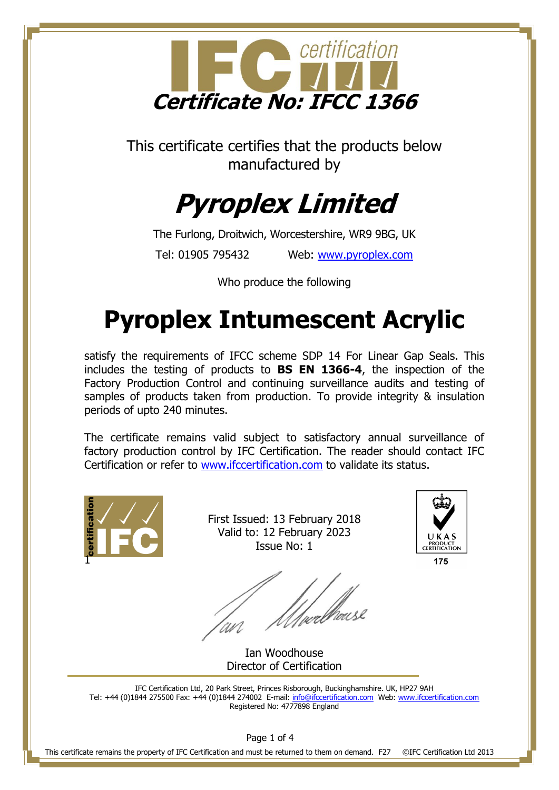

This certificate certifies that the products below manufactured by

# **Pyroplex Limited**

The Furlong, Droitwich, Worcestershire, WR9 9BG, UK Tel: 01905 795432 Web: [www.pyroplex.com](http://www.pyroplex.com/)

Who produce the following

## **Pyroplex Intumescent Acrylic**

satisfy the requirements of IFCC scheme SDP 14 For Linear Gap Seals. This includes the testing of products to **BS EN 1366-4**, the inspection of the Factory Production Control and continuing surveillance audits and testing of samples of products taken from production. To provide integrity & insulation periods of upto 240 minutes.

The certificate remains valid subject to satisfactory annual surveillance of factory production control by IFC Certification. The reader should contact IFC Certification or refer to [www.ifccertification.com](http://www.ifccertification.com/) to validate its status.



First Issued: 13 February 2018 Valid to: 12 February 2023 Issue No: 1



Ian Woodhouse Director of Certification

IFC Certification Ltd, 20 Park Street, Princes Risborough, Buckinghamshire. UK, HP27 9AH Tel: +44 (0)1844 275500 Fax: +44 (0)1844 274002 E-mail[: info@ifccertification.com](mailto:info@ifccertification.com) Web: [www.ifccertification.com](http://www.ifccertification.com/) Registered No: 4777898 England

Page 1 of 4

This certificate remains the property of IFC Certification and must be returned to them on demand. F27 ©IFC Certification Ltd 2013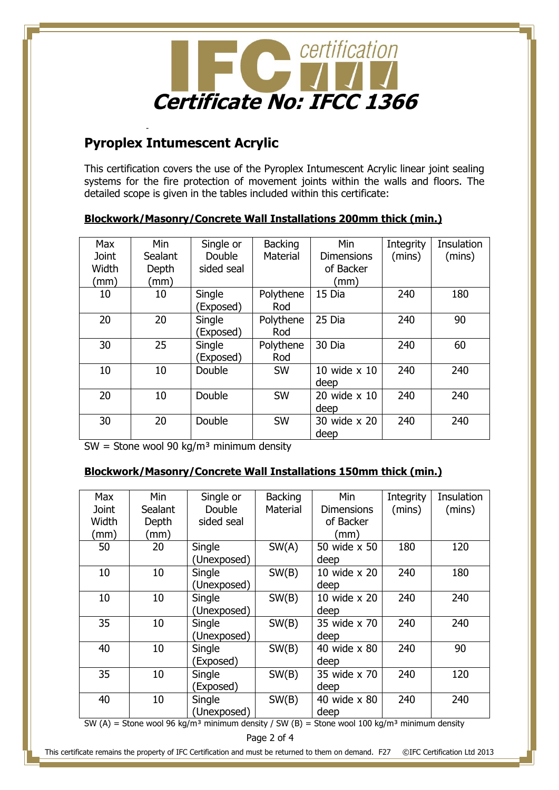

### **Pyroplex Intumescent Acrylic**

-

This certification covers the use of the Pyroplex Intumescent Acrylic linear joint sealing systems for the fire protection of movement joints within the walls and floors. The detailed scope is given in the tables included within this certificate:

#### **Blockwork/Masonry/Concrete Wall Installations 200mm thick (min.)**

| <b>Max</b>   | Min            | Single or  | <b>Backing</b> | Min                 | Integrity | Insulation |
|--------------|----------------|------------|----------------|---------------------|-----------|------------|
| <b>Joint</b> | <b>Sealant</b> | Double     | Material       | <b>Dimensions</b>   | (mins)    | (mins)     |
| Width        | Depth          | sided seal |                | of Backer           |           |            |
| (mm)         | (mm)           |            |                | (mm)                |           |            |
| 10           | 10             | Single     | Polythene      | 15 Dia              | 240       | 180        |
|              |                | (Exposed)  | Rod            |                     |           |            |
| 20           | 20             | Single     | Polythene      | 25 Dia              | 240       | 90         |
|              |                | (Exposed)  | Rod            |                     |           |            |
| 30           | 25             | Single     | Polythene      | 30 Dia              | 240       | 60         |
|              |                | (Exposed)  | Rod            |                     |           |            |
| 10           | 10             | Double     | <b>SW</b>      | 10 wide $\times$ 10 | 240       | 240        |
|              |                |            |                | deep                |           |            |
| 20           | 10             | Double     | <b>SW</b>      | 20 wide x 10        | 240       | 240        |
|              |                |            |                | deep                |           |            |
| 30           | 20             | Double     | SW             | 30 wide x 20        | 240       | 240        |
|              |                |            |                | deep                |           |            |

 $SW =$  Stone wool 90 kg/m<sup>3</sup> minimum density

#### **Blockwork/Masonry/Concrete Wall Installations 150mm thick (min.)**

| <b>Max</b> | Min     | Single or   | <b>Backing</b> | Min               | Integrity | Insulation |
|------------|---------|-------------|----------------|-------------------|-----------|------------|
| Joint      | Sealant | Double      | Material       | <b>Dimensions</b> | (mins)    | (mins)     |
| Width      | Depth   | sided seal  |                | of Backer         |           |            |
| (mm)       | (mm     |             |                | (mm)              |           |            |
| 50         | 20      | Single      | SW(A)          | 50 wide x 50      | 180       | 120        |
|            |         | (Unexposed) |                | deep              |           |            |
| 10         | 10      | Single      | SW(B)          | 10 wide x 20      | 240       | 180        |
|            |         | (Unexposed) |                | deep              |           |            |
| 10         | 10      | Single      | SW(B)          | 10 wide x 20      | 240       | 240        |
|            |         | (Unexposed) |                | deep              |           |            |
| 35         | 10      | Single      | SW(B)          | 35 wide x 70      | 240       | 240        |
|            |         | (Unexposed) |                | deep              |           |            |
| 40         | 10      | Single      | SW(B)          | 40 wide x 80      | 240       | 90         |
|            |         | (Exposed)   |                | deep              |           |            |
| 35         | 10      | Single      | SW(B)          | 35 wide x 70      | 240       | 120        |
|            |         | (Exposed)   |                | deep              |           |            |
| 40         | 10      | Single      | SW(B)          | 40 wide x 80      | 240       | 240        |
|            |         | (Unexposed) |                | deep              |           |            |

SW (A) = Stone wool 96 kg/m<sup>3</sup> minimum density / SW (B) = Stone wool 100 kg/m<sup>3</sup> minimum density

This certificate remains the property of IFC Certification and must be returned to them on demand. F27 ©IFC Certification Ltd 2013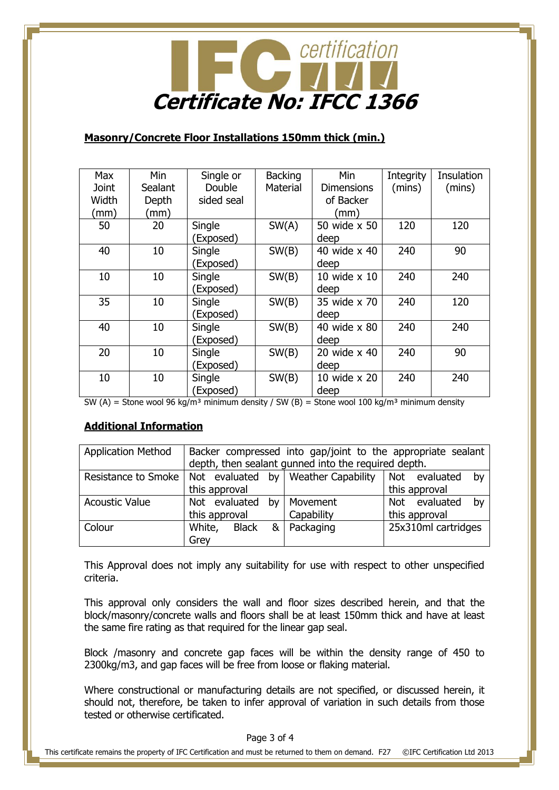

#### **Masonry/Concrete Floor Installations 150mm thick (min.)**

| Max          | Min     | Single or  | <b>Backing</b> | Min                 | Integrity | Insulation |
|--------------|---------|------------|----------------|---------------------|-----------|------------|
| <b>Joint</b> | Sealant | Double     | Material       | <b>Dimensions</b>   | (mins)    | (mins)     |
| Width        | Depth   | sided seal |                | of Backer           |           |            |
| (mm)         | (mm)    |            |                | (mm)                |           |            |
| 50           | 20      | Single     | SW(A)          | 50 wide x 50        | 120       | 120        |
|              |         | (Exposed)  |                | deep                |           |            |
| 40           | 10      | Single     | SW(B)          | 40 wide x 40        | 240       | 90         |
|              |         | (Exposed)  |                | deep                |           |            |
| 10           | 10      | Single     | SW(B)          | 10 wide $\times$ 10 | 240       | 240        |
|              |         | (Exposed)  |                | deep                |           |            |
| 35           | 10      | Single     | SW(B)          | 35 wide x 70        | 240       | 120        |
|              |         | (Exposed)  |                | deep                |           |            |
| 40           | 10      | Single     | SW(B)          | 40 wide x 80        | 240       | 240        |
|              |         | (Exposed)  |                | deep                |           |            |
| 20           | 10      | Single     | SW(B)          | 20 wide x 40        | 240       | 90         |
|              |         | (Exposed)  |                | deep                |           |            |
| 10           | 10      | Single     | SW(B)          | 10 wide x 20        | 240       | 240        |
|              |         | (Exposed)  |                | deep                |           |            |

SW (A) = Stone wool 96 kg/m<sup>3</sup> minimum density / SW (B) = Stone wool 100 kg/m<sup>3</sup> minimum density

#### **Additional Information**

| <b>Application Method</b> | Backer compressed into gap/joint to the appropriate sealant<br>depth, then sealant gunned into the required depth. |              |  |             |                     |               |    |
|---------------------------|--------------------------------------------------------------------------------------------------------------------|--------------|--|-------------|---------------------|---------------|----|
| Resistance to Smoke       | Not evaluated by Weather Capability                                                                                |              |  |             | Not evaluated       | by            |    |
|                           | this approval                                                                                                      |              |  |             | this approval       |               |    |
| <b>Acoustic Value</b>     | Not evaluated<br>by                                                                                                |              |  | Movement    |                     | Not evaluated | by |
|                           | this approval                                                                                                      |              |  | Capability  | this approval       |               |    |
| Colour                    | White,                                                                                                             | <b>Black</b> |  | & Packaging | 25x310ml cartridges |               |    |
|                           | Grey                                                                                                               |              |  |             |                     |               |    |

This Approval does not imply any suitability for use with respect to other unspecified criteria.

This approval only considers the wall and floor sizes described herein, and that the block/masonry/concrete walls and floors shall be at least 150mm thick and have at least the same fire rating as that required for the linear gap seal.

Block /masonry and concrete gap faces will be within the density range of 450 to 2300kg/m3, and gap faces will be free from loose or flaking material.

Where constructional or manufacturing details are not specified, or discussed herein, it should not, therefore, be taken to infer approval of variation in such details from those tested or otherwise certificated.

Page 3 of 4

This certificate remains the property of IFC Certification and must be returned to them on demand. F27 ©IFC Certification Ltd 2013